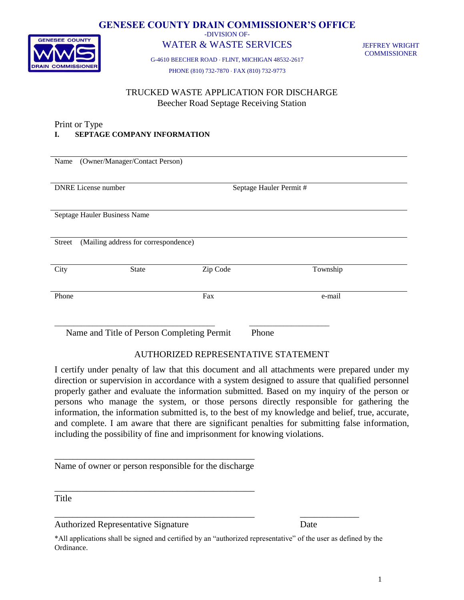

## **GENESEE COUNTY DRAIN COMMISSIONER'S OFFICE**

-DIVISION OF-

# WATER & WASTE SERVICES

JEFFREY WRIGHT **COMMISSIONER** 

G-4610 BEECHER ROAD FLINT, MICHIGAN 48532-2617

PHONE (810) 732-7870 FAX (810) 732-9773

## TRUCKED WASTE APPLICATION FOR DISCHARGE Beecher Road Septage Receiving Station

#### Print or Type **I. SEPTAGE COMPANY INFORMATION**

| Name                                                | (Owner/Manager/Contact Person)       |          |                         |          |  |  |
|-----------------------------------------------------|--------------------------------------|----------|-------------------------|----------|--|--|
|                                                     |                                      |          |                         |          |  |  |
|                                                     |                                      |          |                         |          |  |  |
|                                                     |                                      |          |                         |          |  |  |
|                                                     | <b>DNRE</b> License number           |          | Septage Hauler Permit # |          |  |  |
|                                                     |                                      |          |                         |          |  |  |
|                                                     |                                      |          |                         |          |  |  |
|                                                     |                                      |          |                         |          |  |  |
|                                                     |                                      |          |                         |          |  |  |
|                                                     | Septage Hauler Business Name         |          |                         |          |  |  |
|                                                     |                                      |          |                         |          |  |  |
|                                                     |                                      |          |                         |          |  |  |
|                                                     |                                      |          |                         |          |  |  |
| Street                                              | (Mailing address for correspondence) |          |                         |          |  |  |
|                                                     |                                      |          |                         |          |  |  |
|                                                     |                                      |          |                         |          |  |  |
|                                                     |                                      |          |                         |          |  |  |
| City                                                | <b>State</b>                         | Zip Code |                         | Township |  |  |
|                                                     |                                      |          |                         |          |  |  |
|                                                     |                                      |          |                         |          |  |  |
|                                                     |                                      |          |                         |          |  |  |
| Phone                                               |                                      | Fax      |                         | e-mail   |  |  |
|                                                     |                                      |          |                         |          |  |  |
|                                                     |                                      |          |                         |          |  |  |
|                                                     |                                      |          |                         |          |  |  |
|                                                     |                                      |          |                         |          |  |  |
|                                                     |                                      |          |                         |          |  |  |
| Name and Title of Person Completing Permit<br>Phone |                                      |          |                         |          |  |  |
|                                                     |                                      |          |                         |          |  |  |

# AUTHORIZED REPRESENTATIVE STATEMENT

I certify under penalty of law that this document and all attachments were prepared under my direction or supervision in accordance with a system designed to assure that qualified personnel properly gather and evaluate the information submitted. Based on my inquiry of the person or persons who manage the system, or those persons directly responsible for gathering the information, the information submitted is, to the best of my knowledge and belief, true, accurate, and complete. I am aware that there are significant penalties for submitting false information, including the possibility of fine and imprisonment for knowing violations.

\_\_\_\_\_\_\_\_\_\_\_\_\_\_\_\_\_\_\_\_\_\_\_\_\_\_\_\_\_\_\_\_\_\_\_\_\_\_\_\_\_\_\_\_ Name of owner or person responsible for the discharge

\_\_\_\_\_\_\_\_\_\_\_\_\_\_\_\_\_\_\_\_\_\_\_\_\_\_\_\_\_\_\_\_\_\_\_\_\_\_\_\_\_\_\_\_

**Title** 

Authorized Representative Signature Date

\*All applications shall be signed and certified by an "authorized representative" of the user as defined by the Ordinance.

\_\_\_\_\_\_\_\_\_\_\_\_\_\_\_\_\_\_\_\_\_\_\_\_\_\_\_\_\_\_\_\_\_\_\_\_\_\_\_\_\_\_\_\_ \_\_\_\_\_\_\_\_\_\_\_\_\_